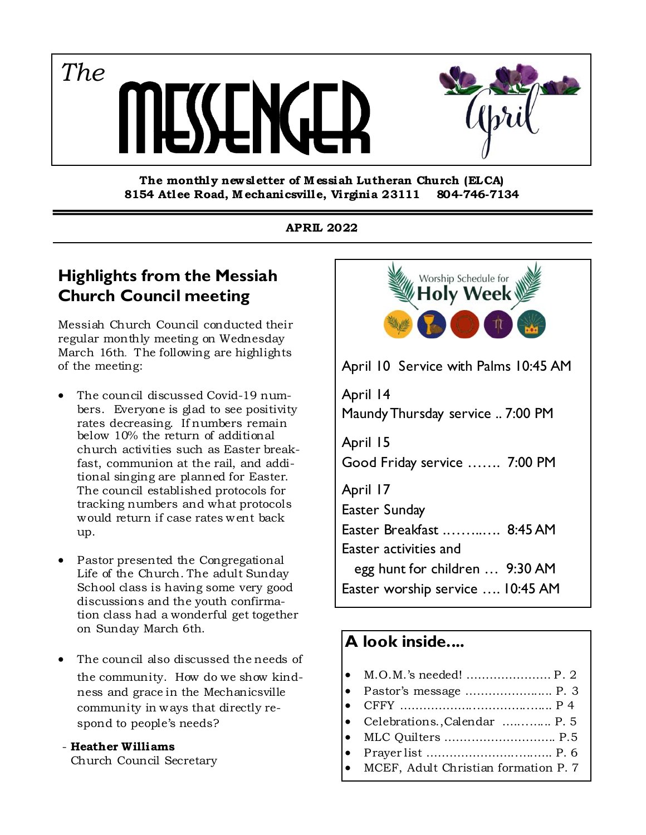*The*

**The monthly new sletter of M essiah Lutheran Church (ELCA) 8154 Atlee Road, M echanicsville, Virginia 23111 804-746-7134** 

#### **APRIL 2022**

# **Highlights from the Messiah Church Council meeting**

Messiah Church Council conducted their regular monthly meeting on Wednesday March 16th. The following are highlights of the meeting:

- The council discussed Covid-19 numbers. Everyone is glad to see positivity rates decreasing. If numbers remain below 10% the return of additional church activities such as Easter breakfast, communion at the rail, and additional singing are planned for Easter. The council established protocols for tracking numbers and what protocols would return if case rates went back up.
- Pastor presented the Congregational Life of the Church. The adult Sunday School class is having some very good discussions and the youth confirmation class had a wonderful get together on Sunday March 6th.
- The council also discussed the needs of the community. How do we show kindness and grace in the Mechanicsville community in ways that directly respond to people's needs?
- **Heather Williams** Church Council Secretary



Good Friday service ……. 7:00 PM April 17 Easter Sunday Easter Breakfast .……..…. 8:45 AM Easter activities and egg hunt for children … 9:30 AM Easter worship service …. 10:45 AM

# **A look inside....**

- M.O.M.'s needed! …………………. P. 2
- Pastor's message ………………..... P. 3 CFFY ………………..…………..…... P 4
- Celebrations.,Calendar …....…... P. 5
- MLC Quilters …….…………………. P.5
- Prayer list …………………...….….. P. 6
- MCEF, Adult Christian formation P. 7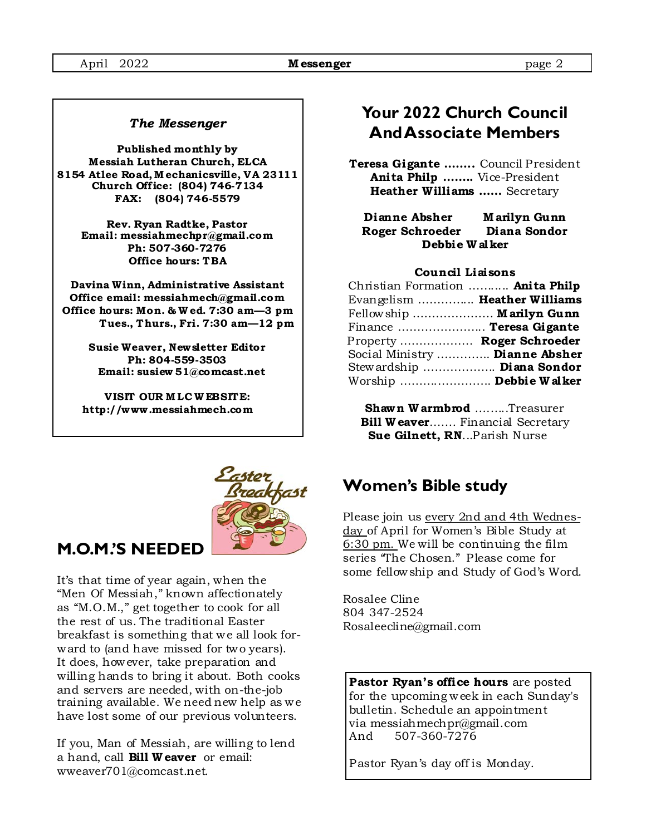#### *The Messenger*

**Published monthly by Messiah Lutheran Church, ELCA 8154 Atlee Road, M echanicsville, VA 23111 Church Off ice: (804) 746-7134 FAX: (804) 746-5579** 

> **Rev. Ryan Radtke, Pastor Email: messiahmechpr@gmail.com Ph: 507-360-7276 Office hours: TBA**

**Davina Winn, Administrative Assistant Office email: messiahmech@gmail.com Office hours: Mon. & W ed. 7:30 am—3 pm Tues., Thurs., Fri. 7:30 am—12 pm** 

> **Susie Weaver, Newsletter Editor Ph: 804-559-3503 Email: susiew 51@comcast.net**

**VISIT OUR M LC W EBSITE: http://www .messiahmech.com** 



# **M.O.M.'S NEEDED**

It's that time of year again, when the "Men Of Messiah," known affectionately as "M.O.M.," get together to cook for all the rest of us. The traditional Easter breakfast is something that we all look forward to (and have missed for two years). It does, however, take preparation and willing hands to bring it about. Both cooks and servers are needed, with on-the-job training available. We need new help as we have lost some of our previous volunteers.

If you, Man of Messiah, are willing to lend a hand, call **Bill W eaver** or email: wweaver701@comcast.net.

# **Your 2022 Church Council And Associate Members**

**Teresa Gigante ……..** Council President **Anita Philp ……..** Vice-President **Heather Williams ……** Secretary

**Dianne Absher M arilyn Gunn Roger Schroeder Diana Sondor Debbie W alker** 

#### **Council Liaisons**

| Christian Formation  Anita Philp |  |
|----------------------------------|--|
| Evangelism  Heather Williams     |  |
| Fellowship  Marilyn Gunn         |  |
| Finance  Teresa Gigante          |  |
| Property  Roger Schroeder        |  |
| Social Ministry  Dianne Absher   |  |
| Stewardship  Diana Sondor        |  |
| Worship  Debbie Walker           |  |
|                                  |  |

**Shawn W armbrod** ….…..Treasurer **Bill W eaver.......** Financial Secretary  **Sue Gilnett, RN**...Parish Nurse

## **Women's Bible study**

Please join us every 2nd and 4th Wednesday of April for Women's Bible Study at 6:30 pm. We will be continuing the film series "The Chosen." Please come for some fellowship and Study of God's Word.

Rosalee Cline 804 347-2524 Rosaleecline@gmail.com

**Pastor Ryan's office hours** are posted for the upcoming week in each Sunday's bulletin. Schedule an appointment via messiahmechpr@gmail.com And 507-360-7276

Pastor Ryan's day off is Monday.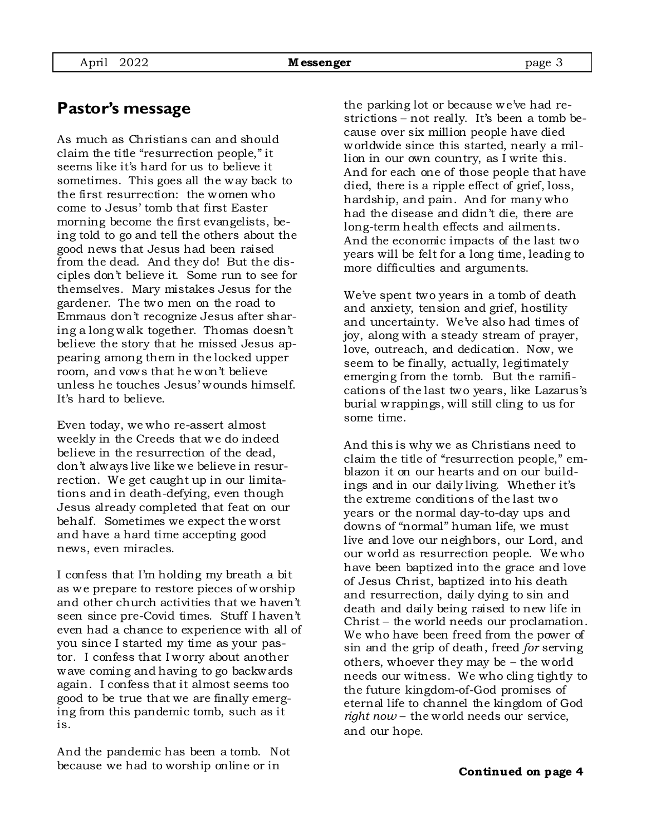### **Pastor's message**

As much as Christians can and should claim the title "resurrection people," it seems like it's hard for us to believe it sometimes. This goes all the way back to the first resurrection: the women who come to Jesus' tomb that first Easter morning become the first evangelists, being told to go and tell the others about the good news that Jesus had been raised from the dead. And they do! But the disciples don't believe it. Some run to see for themselves. Mary mistakes Jesus for the gardener. The two men on the road to Emmaus don't recognize Jesus after sharing a long walk together. Thomas doesn't believe the story that he missed Jesus appearing among them in the locked upper room, and vows that he won't believe unless he touches Jesus' wounds himself. It's hard to believe.

Even today, we who re-assert almost weekly in the Creeds that we do indeed believe in the resurrection of the dead, don't always live like we believe in resurrection. We get caught up in our limitations and in death-defying, even though Jesus already completed that feat on our behalf. Sometimes we expect the worst and have a hard time accepting good news, even miracles.

I confess that I'm holding my breath a bit as we prepare to restore pieces of worship and other church activities that we haven't seen since pre-Covid times. Stuff I haven't even had a chance to experience with all of you since I started my time as your pastor. I confess that I worry about another wave coming and having to go backwards again. I confess that it almost seems too good to be true that we are finally emerging from this pandemic tomb, such as it is.

And the pandemic has been a tomb. Not because we had to worship online or in

the parking lot or because we've had restrictions – not really. It's been a tomb because over six million people have died worldwide since this started, nearly a million in our own country, as I write this. And for each one of those people that have died, there is a ripple effect of grief, loss, hardship, and pain. And for many who had the disease and didn't die, there are long-term health effects and ailments. And the economic impacts of the last two years will be felt for a long time, leading to more difficulties and arguments.

We've spent two years in a tomb of death and anxiety, tension and grief, hostility and uncertainty. We've also had times of joy, along with a steady stream of prayer, love, outreach, and dedication. Now, we seem to be finally, actually, legitimately emerging from the tomb. But the ramifications of the last two years, like Lazarus's burial wrappings, will still cling to us for some time.

And this is why we as Christians need to claim the title of "resurrection people," emblazon it on our hearts and on our buildings and in our daily living. Whether it's the extreme conditions of the last two years or the normal day-to-day ups and downs of "normal" human life, we must live and love our neighbors, our Lord, and our world as resurrection people. We who have been baptized into the grace and love of Jesus Christ, baptized into his death and resurrection, daily dying to sin and death and daily being raised to new life in Christ – the world needs our proclamation. We who have been freed from the power of sin and the grip of death, freed *for* serving others, whoever they may be – the world needs our witness. We who cling tightly to the future kingdom-of-God promises of eternal life to channel the kingdom of God *right now* – the world needs our service, and our hope.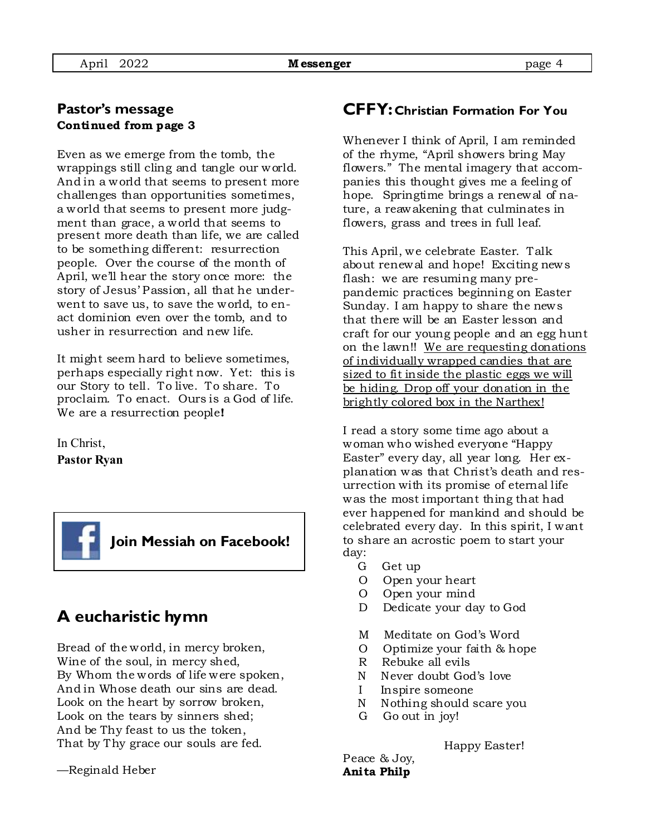#### **Pastor's message Continued from page 3**

Even as we emerge from the tomb, the wrappings still cling and tangle our world. And in a world that seems to present more challenges than opportunities sometimes, a world that seems to present more judgment than grace, a world that seems to present more death than life, we are called to be something different: resurrection people. Over the course of the month of April, we'll hear the story once more: the story of Jesus' Passion, all that he underwent to save us, to save the world, to enact dominion even over the tomb, and to usher in resurrection and new life.

It might seem hard to believe sometimes, perhaps especially right now. Yet: this is our Story to tell. To live. To share. To proclaim. To enact. Ours is a God of life. We are a resurrection people**!**

In Christ,

**Pastor Ryan** 



# **A eucharistic hymn**

Bread of the world, in mercy broken, Wine of the soul, in mercy shed, By Whom the words of life were spoken, And in Whose death our sins are dead. Look on the heart by sorrow broken, Look on the tears by sinners shed; And be Thy feast to us the token, That by Thy grace our souls are fed.

#### —Reginald Heber

## **CFFY: Christian Formation For You**

Whenever I think of April, I am reminded of the rhyme, "April showers bring May flowers." The mental imagery that accompanies this thought gives me a feeling of hope. Springtime brings a renewal of nature, a reawakening that culminates in flowers, grass and trees in full leaf.

This April, we celebrate Easter. Talk about renewal and hope! Exciting news flash: we are resuming many prepandemic practices beginning on Easter Sunday. I am happy to share the news that there will be an Easter lesson and craft for our young people and an egg hunt on the lawn!! We are requesting donations of individually wrapped candies that are sized to fit inside the plastic eggs we will be hiding. Drop off your donation in the brightly colored box in the Narthex!

I read a story some time ago about a woman who wished everyone "Happy Easter" every day, all year long. Her explanation was that Christ's death and resurrection with its promise of eternal life was the most important thing that had ever happened for mankind and should be celebrated every day. In this spirit, I want to share an acrostic poem to start your day:

- G Get up
- O Open your heart
- O Open your mind
- D Dedicate your day to God
- M Meditate on God's Word
- O Optimize your faith & hope
- R Rebuke all evils
- N Never doubt God's love
- I Inspire someone
- N Nothing should scare you
- G Go out in joy!

Peace & Joy, **Anita Philp**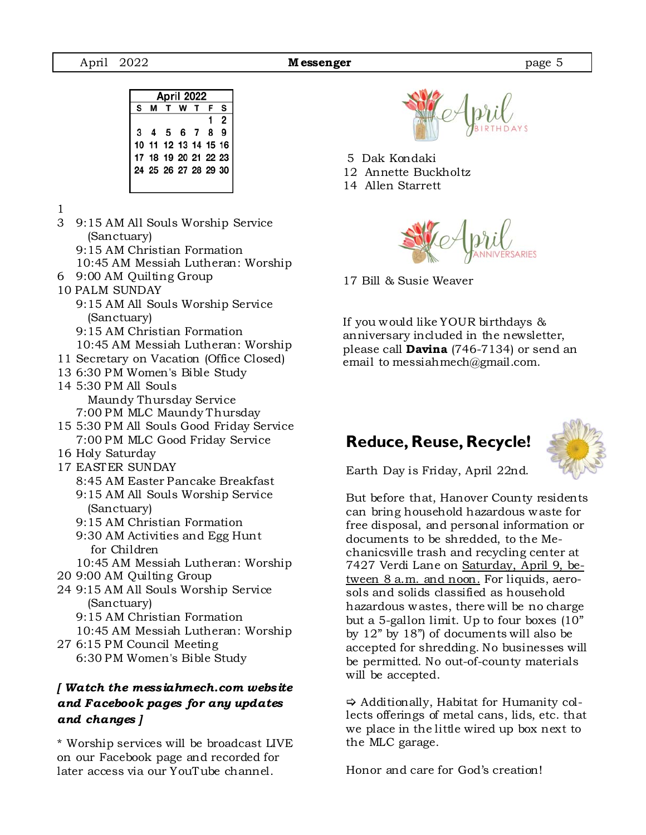| April 2022 |                      |             |  |  |  |   |  |
|------------|----------------------|-------------|--|--|--|---|--|
| s          |                      | M T W T F   |  |  |  | S |  |
|            |                      |             |  |  |  | 2 |  |
| 3          |                      | 4 5 6 7 8 9 |  |  |  |   |  |
|            | 10 11 12 13 14 15 16 |             |  |  |  |   |  |
|            | 17 18 19 20 21 22 23 |             |  |  |  |   |  |
|            | 24 25 26 27 28 29 30 |             |  |  |  |   |  |
|            |                      |             |  |  |  |   |  |

- 1
- 3 9:15 AM All Souls Worship Service (Sanctuary)
	- 9:15 AM Christian Formation
	- 10:45 AM Messiah Lutheran: Worship
- 6 9:00 AM Quilting Group
- 10 PALM SUNDAY
	- 9:15 AM All Souls Worship Service (Sanctuary)
	- 9:15 AM Christian Formation
	- 10:45 AM Messiah Lutheran: Worship
- 11 Secretary on Vacation (Office Closed)
- 13 6:30 PM Women's Bible Study
- 14 5:30 PM All Souls Maundy Thursday Service 7:00 PM MLC Maundy Thursday
- 15 5:30 PM All Souls Good Friday Service 7:00 PM MLC Good Friday Service
- 16 Holy Saturday
- 17 EASTER SUNDAY
	- 8:45 AM Easter Pancake Breakfast
	- 9:15 AM All Souls Worship Service (Sanctuary)
	- 9:15 AM Christian Formation
	- 9:30 AM Activities and Egg Hunt for Children
	- 10:45 AM Messiah Lutheran: Worship
- 20 9:00 AM Quilting Group
- 24 9:15 AM All Souls Worship Service (Sanctuary)
	- 9:15 AM Christian Formation
	- 10:45 AM Messiah Lutheran: Worship
- 27 6:15 PM Council Meeting 6:30 PM Women's Bible Study

#### *[ Watch the mess iahmech.com webs ite and Facebook pages for any updates and changes ]*

\* Worship services will be broadcast LIVE on our Facebook page and recorded for later access via our YouTube channel.



- 5 Dak Kondaki
- 12 Annette Buckholtz
- 14 Allen Starrett



17 Bill & Susie Weaver

If you would like YOUR birthdays & anniversary included in the newsletter, please call **Davina** (746-7134) or send an email to messiahmech@gmail.com.

# **Reduce, Reuse, Recycle!**



Earth Day is Friday, April 22nd.

But before that, Hanover County residents can bring household hazardous waste for free disposal, and personal information or documents to be shredded, to the Mechanicsville trash and recycling center at 7427 Verdi Lane on Saturday, April 9, between 8 a.m. and noon. For liquids, aerosols and solids classified as household hazardous wastes, there will be no charge but a 5-gallon limit. Up to four boxes (10" by 12" by 18") of documents will also be accepted for shredding. No businesses will be permitted. No out-of-county materials will be accepted.

 $\Rightarrow$  Additionally, Habitat for Humanity collects offerings of metal cans, lids, etc. that we place in the little wired up box next to the MLC garage.

Honor and care for God's creation!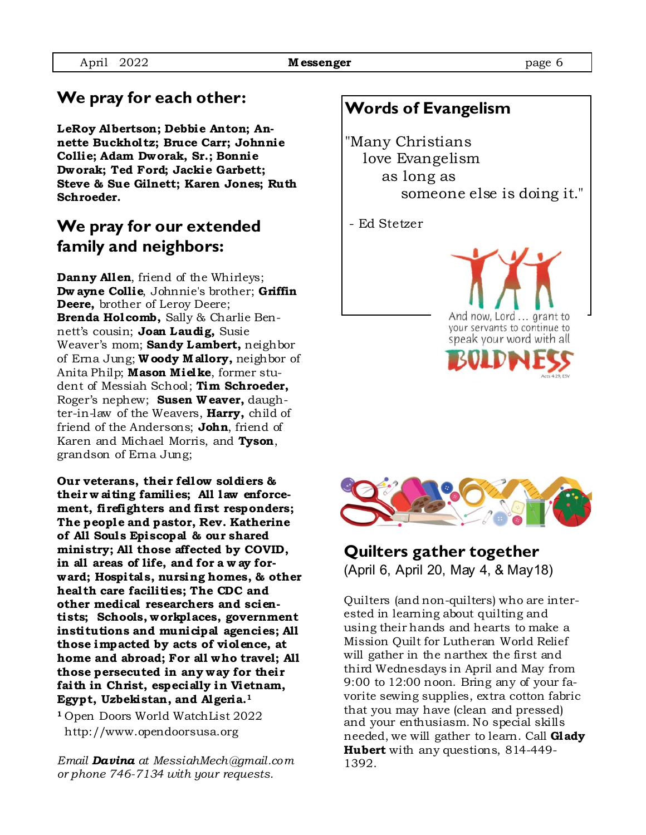# **We pray for each other:**

**LeRoy Albertson; Debbie Anton; Annette Buckholtz; Bruce Carr; Johnnie Collie; Adam Dworak, Sr.; Bonnie Dworak; Ted Ford; Jackie Garbett; Steve & Sue Gilnett; Karen Jones; Ruth Schroeder.** 

# **We pray for our extended family and neighbors:**

**Danny Allen**, friend of the Whirleys; **Dw ayne Collie**, Johnnie's brother; **Griffin Deere,** brother of Leroy Deere; **Brenda Holcomb,** Sally & Charlie Bennett's cousin; **Joan Laudig,** Susie Weaver's mom; **Sandy Lambert,** neighbor of Erna Jung; **W oody M allory,** neighbor of Anita Philp; **Mason Mielke**, former student of Messiah School; **Tim Schroeder,**  Roger's nephew; **Susen W eaver,** daughter-in-law of the Weavers, **Harry,** child of friend of the Andersons; **John**, friend of Karen and Michael Morris, and **Tyson**, grandson of Erna Jung;

**Our veterans, their fellow soldiers & their w aiting families; All law enforcement, firefighters and first responders; The people and pastor, Rev. Katherine of All Soul s Episcopal & our shared ministry; All those affected by COVID, in all areas of life, and for a w ay forward; Hospital s, nursing homes, & other health care facilities; The CDC and other medical researchers and scientists; Schools, workplaces, government institutions and municipal agencies; All those impacted by acts of violence, at home and abroad; For all who travel; All those persecuted in any way for their faith in Christ, especially in Vietnam, Egypt, Uzbekistan, and Algeria.1** 

**<sup>1</sup>**Open Doors World WatchList 2022 http://www.opendoorsusa.org

*Email Davina at MessiahMech@gmail.com or phone 746-7134 with your requests.* 

# **Words of Evangelism**

"Many Christians love Evangelism as long as someone else is doing it."

- Ed Stetzer

And now, Lord ... grant to your servants to continue to speak your word with all





## **Quilters gather together**  (April 6, April 20, May 4, & May18)

Quilters (and non-quilters) who are interested in learning about quilting and using their hands and hearts to make a Mission Quilt for Lutheran World Relief will gather in the narthex the first and third Wednesdays in April and May from 9:00 to 12:00 noon. Bring any of your favorite sewing supplies, extra cotton fabric that you may have (clean and pressed) and your enthusiasm. No special skills needed, we will gather to learn. Call **Glady Hubert** with any questions, 814-449- 1392.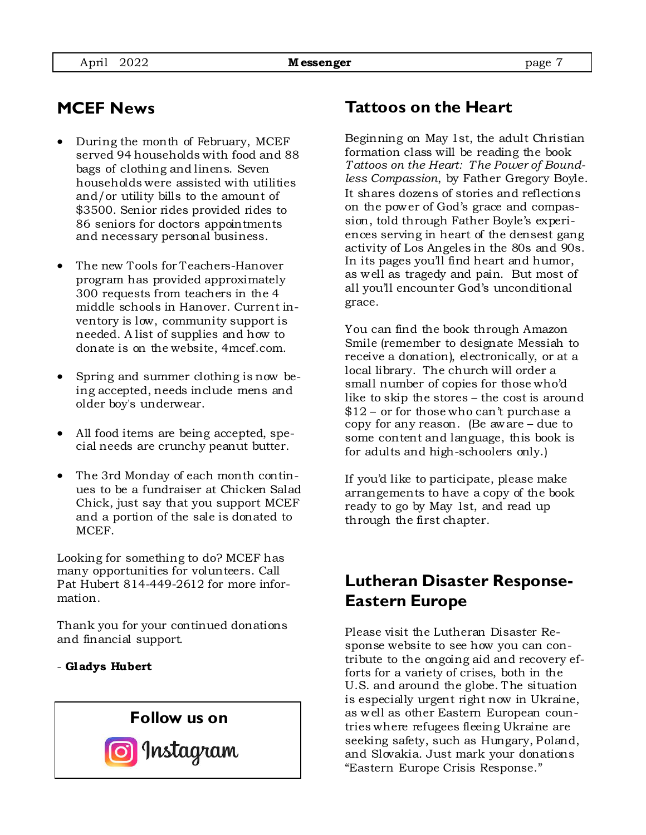## **MCEF News**

- During the month of February, MCEF served 94 households with food and 88 bags of clothing and linens. Seven households were assisted with utilities and/or utility bills to the amount of \$3500. Senior rides provided rides to 86 seniors for doctors appointments and necessary personal business.
- The new Tools for Teachers-Hanover program has provided approximately 300 requests from teachers in the 4 middle schools in Hanover. Current inventory is low, community support is needed. A list of supplies and how to donate is on the website, 4mcef.com.
- Spring and summer clothing is now being accepted, needs include mens and older boy's underwear.
- All food items are being accepted, special needs are crunchy peanut butter.
- The 3rd Monday of each month continues to be a fundraiser at Chicken Salad Chick, just say that you support MCEF and a portion of the sale is donated to MCEF.

Looking for something to do? MCEF has many opportunities for volunteers. Call Pat Hubert 814-449-2612 for more information.

Thank you for your continued donations and financial support.

#### - **Gladys Hubert**



## **Tattoos on the Heart**

Beginning on May 1st, the adult Christian formation class will be reading the book *Tattoos on the Heart: The Power of Boundless Compassion*, by Father Gregory Boyle. It shares dozens of stories and reflections on the power of God's grace and compassion, told through Father Boyle's experiences serving in heart of the densest gang activity of Los Angeles in the 80s and 90s. In its pages you'll find heart and humor, as well as tragedy and pain. But most of all you'll encounter God's unconditional grace.

You can find the book through Amazon Smile (remember to designate Messiah to receive a donation), electronically, or at a local library. The church will order a small number of copies for those who'd like to skip the stores – the cost is around \$12 – or for those who can't purchase a copy for any reason. (Be aware – due to some content and language, this book is for adults and high-schoolers only.)

If you'd like to participate, please make arrangements to have a copy of the book ready to go by May 1st, and read up through the first chapter.

## **Lutheran Disaster Response-Eastern Europe**

Please visit the Lutheran Disaster Response website to see how you can contribute to the ongoing aid and recovery efforts for a variety of crises, both in the U.S. and around the globe. The situation is especially urgent right now in Ukraine, as well as other Eastern European countries where refugees fleeing Ukraine are seeking safety, such as Hungary, Poland, and Slovakia. Just mark your donations "Eastern Europe Crisis Response."